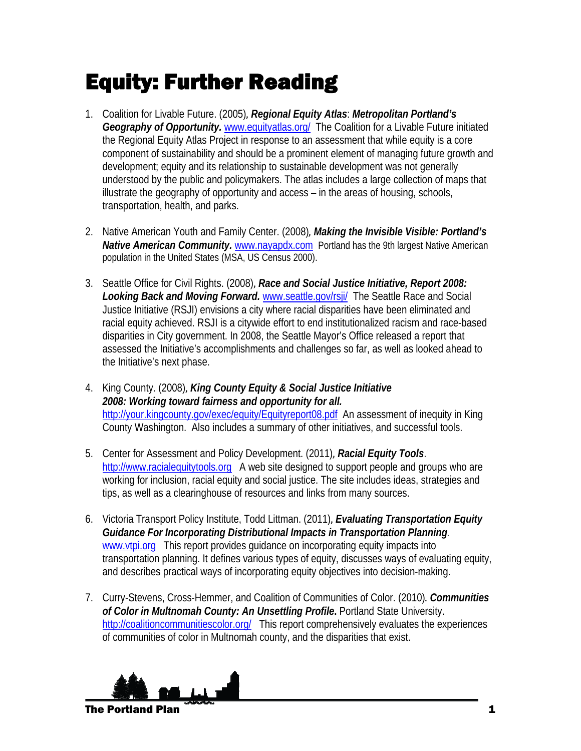# Equity: Further Reading

- 1. Coalition for Livable Future. (2005), *Regional Equity Atlas*: *Metropolitan Portland's Geography of Opportunity.* [www.equityatlas.org/](http://www.equityatlas.org/) The Coalition for a Livable Future initiated the Regional Equity Atlas Project in response to an assessment that while equity is a core component of sustainability and should be a prominent element of managing future growth and development; equity and its relationship to sustainable development was not generally understood by the public and policymakers. The atlas includes a large collection of maps that illustrate the geography of opportunity and access – in the areas of housing, schools, transportation, health, and parks.
- 2. Native American Youth and Family Center. (2008), *Making the Invisible Visible: Portland's Native American Community.* [www.nayapdx.com](http://www.nayapdx.com/) Portland has the 9th largest Native American population in the United States (MSA, US Census 2000).
- 3. Seattle Office for Civil Rights. (2008), *Race and Social Justice Initiative, Report 2008: Looking Back and Moving Forward.* [www.seattle.gov/rsji/](http://www.seattle.gov/rsji/) The Seattle Race and Social Justice Initiative (RSJI) envisions a city where racial disparities have been eliminated and racial equity achieved. RSJI is a citywide effort to end institutionalized racism and race-based disparities in City government. In 2008, the Seattle Mayor's Office released a report that assessed the Initiative's accomplishments and challenges so far, as well as looked ahead to the Initiative's next phase.
- 4. King County. (2008), *King County Equity & Social Justice Initiative 2008: Working toward fairness and opportunity for all.*  <http://your.kingcounty.gov/exec/equity/Equityreport08.pdf>An assessment of inequity in King County Washington. Also includes a summary of other initiatives, and successful tools.
- 5. Center for Assessment and Policy Development. (2011), *Racial Equity Tools*. [http://www.racialequitytools.org](http://www.racialequitytools.org/) A web site designed to support people and groups who are working for inclusion, racial equity and social justice. The site includes ideas, strategies and tips, as well as a clearinghouse of resources and links from many sources.
- 6. Victoria Transport Policy Institute, Todd Littman. (2011), *Evaluating Transportation Equity Guidance For Incorporating Distributional Impacts in Transportation Planning.*  [www.vtpi.org](http://www.vtpi.org/) This report provides quidance on incorporating equity impacts into transportation planning. It defines various types of equity, discusses ways of evaluating equity, and describes practical ways of incorporating equity objectives into decision-making.
- 7. Curry-Stevens, Cross-Hemmer, and Coalition of Communities of Color. (2010). *Communities of Color in Multnomah County: An Unsettling Profile***.** Portland State University. <http://coalitioncommunitiescolor.org/> This report comprehensively evaluates the experiences of communities of color in Multnomah county, and the disparities that exist.



The Portland Plan **The Portland Plan (1996)**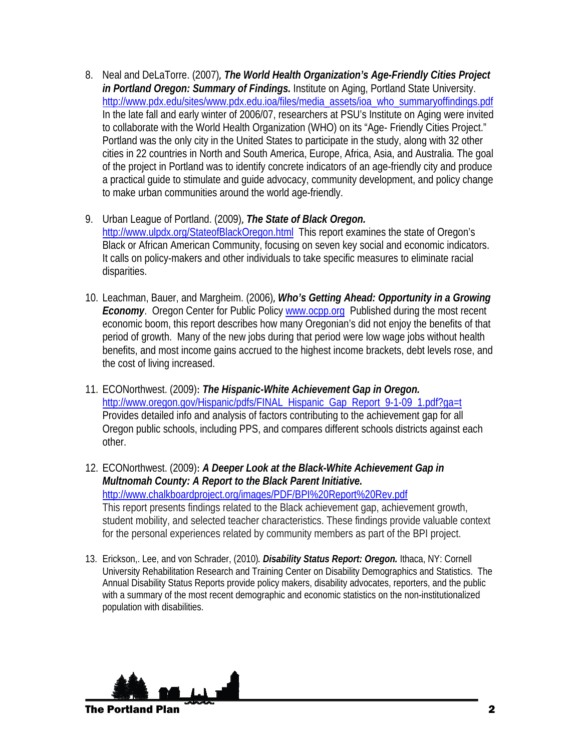- 8. Neal and DeLaTorre. (2007), *The World Health Organization's Age-Friendly Cities Project in Portland Oregon: Summary of Findings.* Institute on Aging, Portland State University. [http://www.pdx.edu/sites/www.pdx.edu.ioa/files/media\\_assets/ioa\\_who\\_summaryoffindings.pdf](http://www.pdx.edu/sites/www.pdx.edu.ioa/files/media_assets/ioa_who_summaryoffindings.pdf)  In the late fall and early winter of 2006/07, researchers at PSU's Institute on Aging were invited to collaborate with the World Health Organization (WHO) on its "Age- Friendly Cities Project." Portland was the only city in the United States to participate in the study, along with 32 other cities in 22 countries in North and South America, Europe, Africa, Asia, and Australia. The goal of the project in Portland was to identify concrete indicators of an age-friendly city and produce a practical guide to stimulate and guide advocacy, community development, and policy change to make urban communities around the world age-friendly.
- 9. Urban League of Portland. (2009), *The State of Black Oregon.* <http://www.ulpdx.org/StateofBlackOregon.html> This report examines the state of Oregon's Black or African American Community, focusing on seven key social and economic indicators. It calls on policy-makers and other individuals to take specific measures to eliminate racial disparities.
- 10. Leachman, Bauer, and Margheim. (2006), *Who's Getting Ahead: Opportunity in a Growing Economy*. Oregon Center for Public Policy **www.ocpp.org** Published during the most recent economic boom, this report describes how many Oregonian's did not enjoy the benefits of that period of growth. Many of the new jobs during that period were low wage jobs without health benefits, and most income gains accrued to the highest income brackets, debt levels rose, and the cost of living increased.
- 11. ECONorthwest. (2009): *The Hispanic-White Achievement Gap in Oregon.* http://www.oregon.gov/Hispanic/pdfs/FINAL\_Hispanic\_Gap\_Report\_9-1-09\_1.pdf?ga=t Provides detailed info and analysis of factors contributing to the achievement gap for all Oregon public schools, including PPS, and compares different schools districts against each other.
- 12. ECONorthwest. (2009): *A Deeper Look at the Black-White Achievement Gap in Multnomah County: A Report to the Black Parent Initiative.* <http://www.chalkboardproject.org/images/PDF/BPI%20Report%20Rev.pdf> This report presents findings related to the Black achievement gap, achievement growth, student mobility, and selected teacher characteristics. These findings provide valuable context for the personal experiences related by community members as part of the BPI project.
- 13. Erickson,. Lee, and von Schrader, (2010). *Disability Status Report: Oregon.* Ithaca, NY: Cornell University Rehabilitation Research and Training Center on Disability Demographics and Statistics. The Annual Disability Status Reports provide policy makers, disability advocates, reporters, and the public with a summary of the most recent demographic and economic statistics on the non-institutionalized population with disabilities.

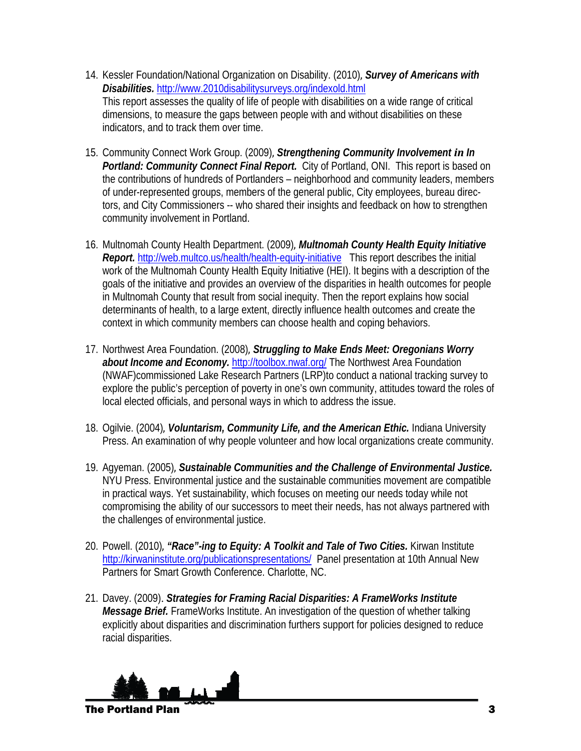- 14. Kessler Foundation/National Organization on Disability. (2010), *Survey of Americans with Disabilities.* <http://www.2010disabilitysurveys.org/indexold.html> This report assesses the quality of life of people with disabilities on a wide range of critical dimensions, to measure the gaps between people with and without disabilities on these indicators, and to track them over time.
- 15. Community Connect Work Group. (2009), *Strengthening Community Involvement in In Portland: Community Connect Final Report.* City of Portland, ONI. This report is based on the contributions of hundreds of Portlanders – neighborhood and community leaders, members of under-represented groups, members of the general public, City employees, bureau directors, and City Commissioners -- who shared their insights and feedback on how to strengthen community involvement in Portland.
- 16. Multnomah County Health Department. (2009), *Multnomah County Health Equity Initiative Report.* <http://web.multco.us/health/health-equity-initiative> This report describes the initial work of the Multnomah County Health Equity Initiative (HEI). It begins with a description of the goals of the initiative and provides an overview of the disparities in health outcomes for people in Multnomah County that result from social inequity. Then the report explains how social determinants of health, to a large extent, directly influence health outcomes and create the context in which community members can choose health and coping behaviors.
- 17. Northwest Area Foundation. (2008), *Struggling to Make Ends Meet: Oregonians Worry about Income and Economy.* <http://toolbox.nwaf.org/> The Northwest Area Foundation (NWAF)commissioned Lake Research Partners (LRP)to conduct a national tracking survey to explore the public's perception of poverty in one's own community, attitudes toward the roles of local elected officials, and personal ways in which to address the issue.
- 18. Ogilvie. (2004), *Voluntarism, Community Life, and the American Ethic.* Indiana University Press. An examination of why people volunteer and how local organizations create community.
- 19. Agyeman. (2005), *Sustainable Communities and the Challenge of Environmental Justice.* NYU Press. Environmental justice and the sustainable communities movement are compatible in practical ways. Yet sustainability, which focuses on meeting our needs today while not compromising the ability of our successors to meet their needs, has not always partnered with the challenges of environmental justice.
- 20. Powell. (2010), *"Race"-ing to Equity: A Toolkit and Tale of Two Cities.* Kirwan Institute <http://kirwaninstitute.org/publicationspresentations/> Panel presentation at 10th Annual New Partners for Smart Growth Conference. Charlotte, NC.
- 21. Davey. (2009). *Strategies for Framing Racial Disparities: A FrameWorks Institute Message Brief.* FrameWorks Institute. An investigation of the question of whether talking explicitly about disparities and discrimination furthers support for policies designed to reduce racial disparities.

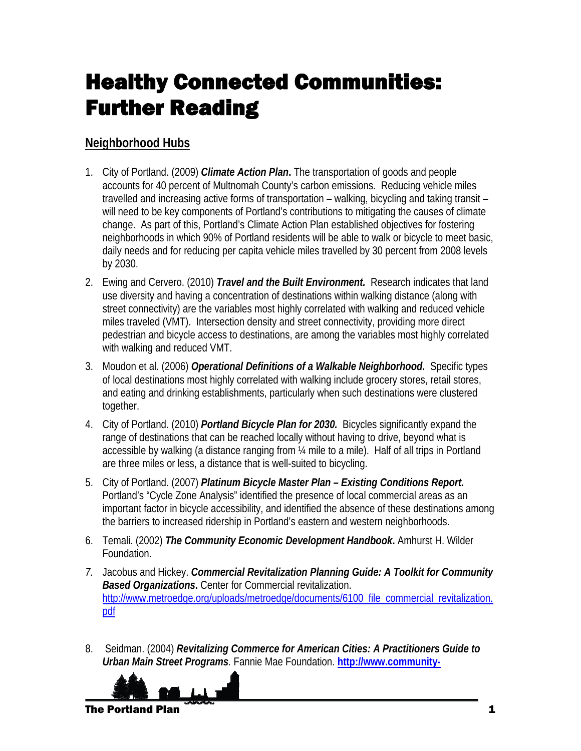# Healthy Connected Communities: Further Reading

### **Neighborhood Hubs**

- 1. City of Portland. (2009) *Climate Action Plan***.** The transportation of goods and people accounts for 40 percent of Multnomah County's carbon emissions. Reducing vehicle miles travelled and increasing active forms of transportation – walking, bicycling and taking transit – will need to be key components of Portland's contributions to mitigating the causes of climate change. As part of this, Portland's Climate Action Plan established objectives for fostering neighborhoods in which 90% of Portland residents will be able to walk or bicycle to meet basic, daily needs and for reducing per capita vehicle miles travelled by 30 percent from 2008 levels by 2030.
- 2. Ewing and Cervero. (2010) *Travel and the Built Environment.* Research indicates that land use diversity and having a concentration of destinations within walking distance (along with street connectivity) are the variables most highly correlated with walking and reduced vehicle miles traveled (VMT). Intersection density and street connectivity, providing more direct pedestrian and bicycle access to destinations, are among the variables most highly correlated with walking and reduced VMT.
- 3. Moudon et al. (2006) *Operational Definitions of a Walkable Neighborhood.* Specific types of local destinations most highly correlated with walking include grocery stores, retail stores, and eating and drinking establishments, particularly when such destinations were clustered together.
- 4. City of Portland. (2010) *Portland Bicycle Plan for 2030.* Bicycles significantly expand the range of destinations that can be reached locally without having to drive, beyond what is accessible by walking (a distance ranging from ¼ mile to a mile). Half of all trips in Portland are three miles or less, a distance that is well-suited to bicycling.
- 5. City of Portland. (2007) *Platinum Bicycle Master Plan Existing Conditions Report.*  Portland's "Cycle Zone Analysis" identified the presence of local commercial areas as an important factor in bicycle accessibility, and identified the absence of these destinations among the barriers to increased ridership in Portland's eastern and western neighborhoods.
- 6. Temali. (2002) *The Community Economic Development Handbook***.** Amhurst H. Wilder Foundation.
- *7.* Jacobus and Hickey. *Commercial Revitalization Planning Guide: A Toolkit for Community Based Organizations***.** Center for Commercial revitalization. [http://www.metroedge.org/uploads/metroedge/documents/6100\\_file\\_commercial\\_revitalization.](http://www.metroedge.org/uploads/metroedge/documents/6100_file_commercial_revitalization.pdf) [pdf](http://www.metroedge.org/uploads/metroedge/documents/6100_file_commercial_revitalization.pdf)
- 8. Seidman. (2004) *Revitalizing Commerce for American Cities: A Practitioners Guide to Urban Main Street Programs.* Fannie Mae Foundation. **[http://www.community-](http://www.community-wealth.org/_pdfs/tools/cdcs/tool-fannie-mae-main-str.pdf)**

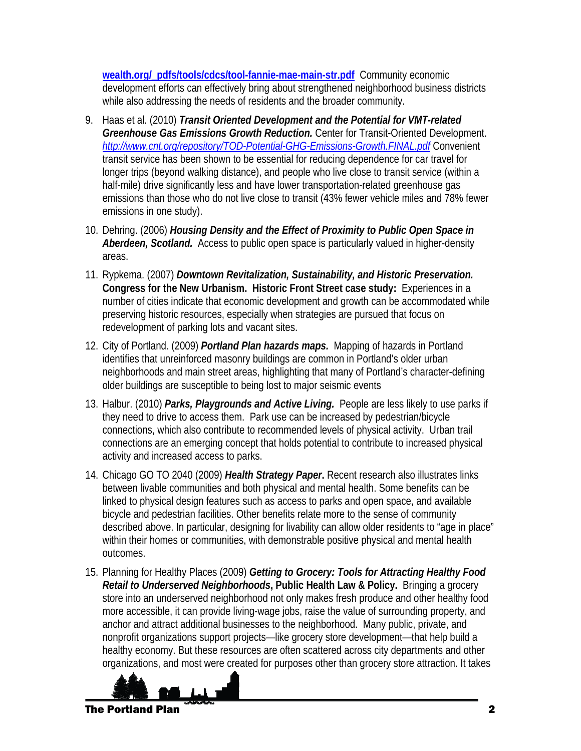**wealth.org/\_pdfs/tools/cdcs/tool-fannie-mae-main-str.pdf** Community economic development efforts can effectively bring about strengthened neighborhood business districts while also addressing the needs of residents and the broader community.

- 9. Haas et al. (2010) *Transit Oriented Development and the Potential for VMT-related Greenhouse Gas Emissions Growth Reduction.* Center for Transit-Oriented Development. *<http://www.cnt.org/repository/TOD-Potential-GHG-Emissions-Growth.FINAL.pdf>* Convenient transit service has been shown to be essential for reducing dependence for car travel for longer trips (beyond walking distance), and people who live close to transit service (within a half-mile) drive significantly less and have lower transportation-related greenhouse gas emissions than those who do not live close to transit (43% fewer vehicle miles and 78% fewer emissions in one study).
- 10. Dehring. (2006) *Housing Density and the Effect of Proximity to Public Open Space in Aberdeen, Scotland.* Access to public open space is particularly valued in higher-density areas.
- 11. Rypkema. (2007) *Downtown Revitalization, Sustainability, and Historic Preservation.*  **Congress for the New Urbanism. Historic Front Street case study:**Experiences in a number of cities indicate that economic development and growth can be accommodated while preserving historic resources, especially when strategies are pursued that focus on redevelopment of parking lots and vacant sites.
- 12. City of Portland. (2009) *Portland Plan hazards maps.*Mapping of hazards in Portland identifies that unreinforced masonry buildings are common in Portland's older urban neighborhoods and main street areas, highlighting that many of Portland's character-defining older buildings are susceptible to being lost to major seismic events
- 13. Halbur. (2010) *Parks, Playgrounds and Active Living.* People are less likely to use parks if they need to drive to access them. Park use can be increased by pedestrian/bicycle connections, which also contribute to recommended levels of physical activity. Urban trail connections are an emerging concept that holds potential to contribute to increased physical activity and increased access to parks.
- 14. Chicago GO TO 2040 (2009) *Health Strategy Paper***.** Recent research also illustrates links between livable communities and both physical and mental health. Some benefits can be linked to physical design features such as access to parks and open space, and available bicycle and pedestrian facilities. Other benefits relate more to the sense of community described above. In particular, designing for livability can allow older residents to "age in place" within their homes or communities, with demonstrable positive physical and mental health outcomes.
- 15. Planning for Healthy Places (2009) *Getting to Grocery: Tools for Attracting Healthy Food Retail to Underserved Neighborhoods***, Public Health Law & Policy.** Bringing a grocery store into an underserved neighborhood not only makes fresh produce and other healthy food more accessible, it can provide living-wage jobs, raise the value of surrounding property, and anchor and attract additional businesses to the neighborhood. Many public, private, and nonprofit organizations support projects—like grocery store development—that help build a healthy economy. But these resources are often scattered across city departments and other organizations, and most were created for purposes other than grocery store attraction. It takes

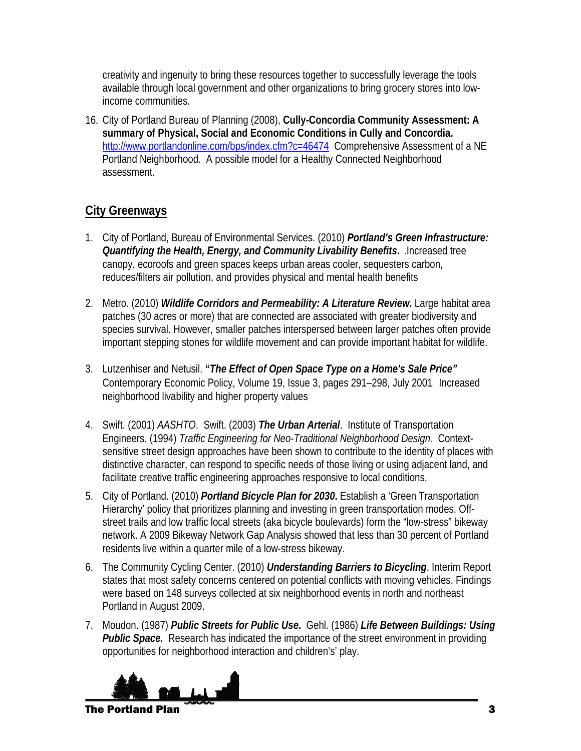creativity and ingenuity to bring these resources together to successfully leverage the tools available through local government and other organizations to bring grocery stores into lowincome communities.

16. City of Portland Bureau of Planning (2008), **Cully-Concordia Community Assessment: A summary of Physical, Social and Economic Conditions in Cully and Concordia.** <http://www.portlandonline.com/bps/index.cfm?c=46474>Comprehensive Assessment of a NE Portland Neighborhood. A possible model for a Healthy Connected Neighborhood assessment.

#### **City Greenways**

- 1. City of Portland, Bureau of Environmental Services. (2010) *Portland's Green Infrastructure: Quantifying the Health, Energy, and Community Livability Benefits***.** .Increased tree canopy, ecoroofs and green spaces keeps urban areas cooler, sequesters carbon, reduces/filters air pollution, and provides physical and mental health benefits
- 2. Metro. (2010) *Wildlife Corridors and Permeability: A Literature Review.* Large habitat area patches (30 acres or more) that are connected are associated with greater biodiversity and species survival. However, smaller patches interspersed between larger patches often provide important stepping stones for wildlife movement and can provide important habitat for wildlife.
- 3. Lutzenhiser and Netusil. **"***The Effect of Open Space Type on a Home's Sale Price"*  Contemporary Economic Policy, [Volume 19, Issue 3, p](http://onlinelibrary.wiley.com/doi/10.1111/coep.2001.19.issue-3/issuetoc)ages 291–298, July 2001*.* Increased neighborhood livability and higher property values
- 4. Swift. (2001) *AASHTO*. Swift. (2003) *The Urban Arterial*. Institute of Transportation Engineers. (1994) *Traffic Engineering for Neo-Traditional Neighborhood Design.* Contextsensitive street design approaches have been shown to contribute to the identity of places with distinctive character, can respond to specific needs of those living or using adjacent land, and facilitate creative traffic engineering approaches responsive to local conditions.
- 5. City of Portland. (2010) *Portland Bicycle Plan for 2030***.** Establish a 'Green Transportation Hierarchy' policy that prioritizes planning and investing in green transportation modes. Offstreet trails and low traffic local streets (aka bicycle boulevards) form the "low-stress" bikeway network. A 2009 Bikeway Network Gap Analysis showed that less than 30 percent of Portland residents live within a quarter mile of a low-stress bikeway.
- 6. The Community Cycling Center. (2010) *Understanding Barriers to Bicycling*. Interim Report states that most safety concerns centered on potential conflicts with moving vehicles. Findings were based on 148 surveys collected at six neighborhood events in north and northeast Portland in August 2009.
- 7. Moudon. (1987) *Public Streets for Public Use***.** Gehl. (1986) *Life Between Buildings: Using*  **Public Space.** Research has indicated the importance of the street environment in providing opportunities for neighborhood interaction and children's' play.

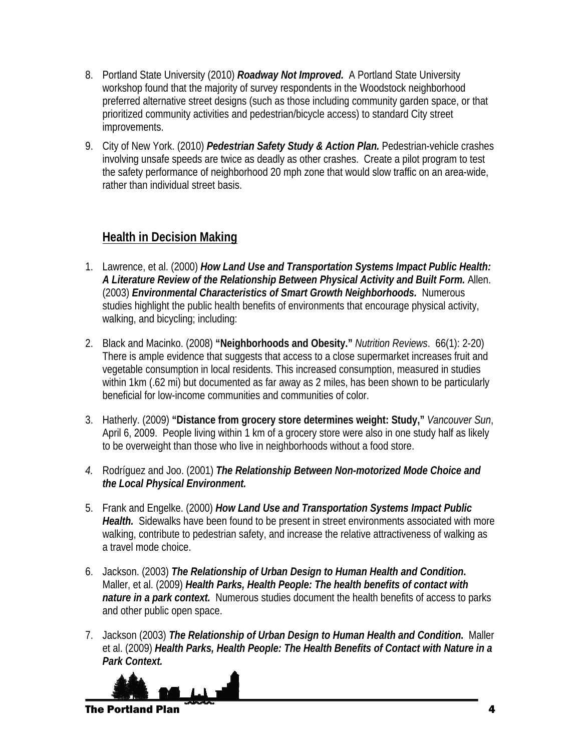- 8. Portland State University (2010) *Roadway Not Improved.* A Portland State University workshop found that the majority of survey respondents in the Woodstock neighborhood preferred alternative street designs (such as those including community garden space, or that prioritized community activities and pedestrian/bicycle access) to standard City street improvements.
- 9. City of New York. (2010) *Pedestrian Safety Study & Action Plan.* Pedestrian-vehicle crashes involving unsafe speeds are twice as deadly as other crashes. Create a pilot program to test the safety performance of neighborhood 20 mph zone that would slow traffic on an area-wide, rather than individual street basis.

## **Health in Decision Making**

- 1. Lawrence, et al. (2000) *How Land Use and Transportation Systems Impact Public Health: A Literature Review of the Relationship Between Physical Activity and Built Form.* Allen. (2003) *Environmental Characteristics of Smart Growth Neighborhoods.* Numerous studies highlight the public health benefits of environments that encourage physical activity, walking, and bicycling; including:
- 2. Black and Macinko. (2008) **"Neighborhoods and Obesity."** *Nutrition Reviews*. 66(1): 2-20) There is ample evidence that suggests that access to a close supermarket increases fruit and vegetable consumption in local residents. This increased consumption, measured in studies within 1km (.62 mi) but documented as far away as 2 miles, has been shown to be particularly beneficial for low-income communities and communities of color.
- 3. Hatherly. (2009) **"Distance from grocery store determines weight: Study,"** *Vancouver Sun*, April 6, 2009. People living within 1 km of a grocery store were also in one study half as likely to be overweight than those who live in neighborhoods without a food store.
- *4.* Rodríguez and Joo. (2001) *The Relationship Between Non-motorized Mode Choice and the Local Physical Environment.*
- 5. Frank and Engelke. (2000) *How Land Use and Transportation Systems Impact Public*  Health. Sidewalks have been found to be present in street environments associated with more walking, contribute to pedestrian safety, and increase the relative attractiveness of walking as a travel mode choice.
- 6. Jackson. (2003) *The Relationship of Urban Design to Human Health and Condition***.**  Maller, et al. (2009) *Health Parks, Health People: The health benefits of contact with nature in a park context.* Numerous studies document the health benefits of access to parks and other public open space.
- 7. Jackson (2003) *The Relationship of Urban Design to Human Health and Condition***.** Maller et al. (2009) *Health Parks, Health People: The Health Benefits of Contact with Nature in a Park Context.*



The Portland Plan **The Portland Plan (1996)**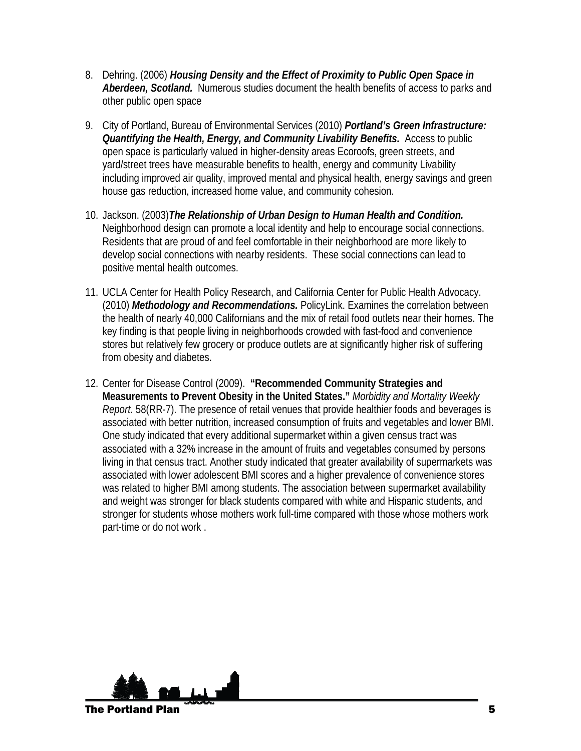- 8. Dehring. (2006) *Housing Density and the Effect of Proximity to Public Open Space in*  Aberdeen, Scotland. Numerous studies document the health benefits of access to parks and other public open space
- 9. City of Portland, Bureau of Environmental Services (2010) *Portland's Green Infrastructure: Quantifying the Health, Energy, and Community Livability Benefits.* **Access to public** open space is particularly valued in higher-density areas Ecoroofs, green streets, and yard/street trees have measurable benefits to health, energy and community Livability including improved air quality, improved mental and physical health, energy savings and green house gas reduction, increased home value, and community cohesion.
- 10. Jackson. (2003)*The Relationship of Urban Design to Human Health and Condition.*  Neighborhood design can promote a local identity and help to encourage social connections. Residents that are proud of and feel comfortable in their neighborhood are more likely to develop social connections with nearby residents. These social connections can lead to positive mental health outcomes.
- 11. UCLA Center for Health Policy Research, and California Center for Public Health Advocacy. (2010) *Methodology and Recommendations.* PolicyLink. Examines the correlation between the health of nearly 40,000 Californians and the mix of retail food outlets near their homes. The key finding is that people living in neighborhoods crowded with fast-food and convenience stores but relatively few grocery or produce outlets are at significantly higher risk of suffering from obesity and diabetes.
- 12. Center for Disease Control (2009). **"Recommended Community Strategies and Measurements to Prevent Obesity in the United States."** *Morbidity and Mortality Weekly Report.* 58(RR-7). The presence of retail venues that provide healthier foods and beverages is associated with better nutrition, increased consumption of fruits and vegetables and lower BMI. One study indicated that every additional supermarket within a given census tract was associated with a 32% increase in the amount of fruits and vegetables consumed by persons living in that census tract. Another study indicated that greater availability of supermarkets was associated with lower adolescent BMI scores and a higher prevalence of convenience stores was related to higher BMI among students. The association between supermarket availability and weight was stronger for black students compared with white and Hispanic students, and stronger for students whose mothers work full-time compared with those whose mothers work part-time or do not work .

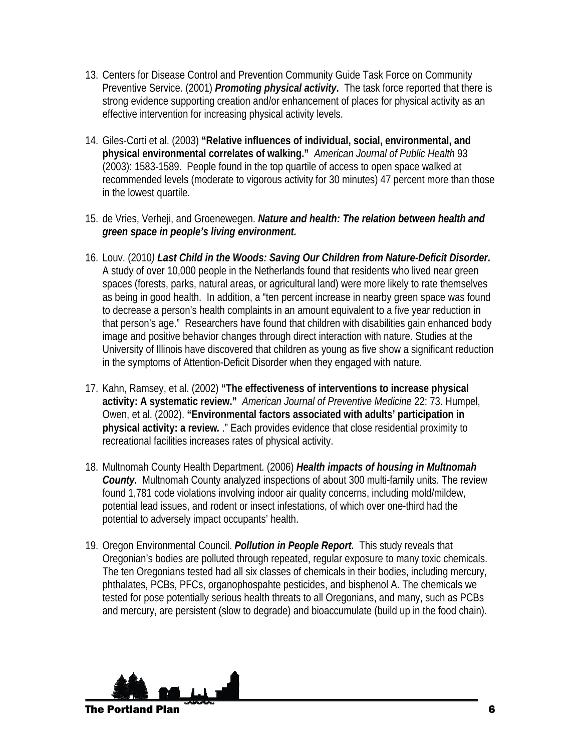- 13. Centers for Disease Control and Prevention Community Guide Task Force on Community Preventive Service. (2001) *Promoting physical activity***.** The task force reported that there is strong evidence supporting creation and/or enhancement of places for physical activity as an effective intervention for increasing physical activity levels.
- 14. Giles-Corti et al. (2003) **"Relative influences of individual, social, environmental, and physical environmental correlates of walking."** *American Journal of Public Health* 93 (2003): 1583-1589. People found in the top quartile of access to open space walked at recommended levels (moderate to vigorous activity for 30 minutes) 47 percent more than those in the lowest quartile.
- 15. de Vries, Verheji, and Groenewegen. *Nature and health: The relation between health and green space in people's living environment.*
- 16. Louv. (2010*) Last Child in the Woods: Saving Our Children from Nature-Deficit Disorder***.** A study of over 10,000 people in the Netherlands found that residents who lived near green spaces (forests, parks, natural areas, or agricultural land) were more likely to rate themselves as being in good health. In addition, a "ten percent increase in nearby green space was found to decrease a person's health complaints in an amount equivalent to a five year reduction in that person's age." Researchers have found that children with disabilities gain enhanced body image and positive behavior changes through direct interaction with nature. Studies at the University of Illinois have discovered that children as young as five show a significant reduction in the symptoms of Attention-Deficit Disorder when they engaged with nature.
- 17. Kahn, Ramsey, et al. (2002) **"The effectiveness of interventions to increase physical activity: A systematic review."** *American Journal of Preventive Medicine* 22: 73. Humpel, Owen, et al. (2002). **"Environmental factors associated with adults' participation in physical activity: a review***.* ." Each provides evidence that close residential proximity to recreational facilities increases rates of physical activity.
- 18. Multnomah County Health Department. (2006) *Health impacts of housing in Multnomah County.* Multnomah County analyzed inspections of about 300 multi-family units. The review found 1,781 code violations involving indoor air quality concerns, including mold/mildew, potential lead issues, and rodent or insect infestations, of which over one-third had the potential to adversely impact occupants' health.
- 19. Oregon Environmental Council. *Pollution in People Report.* This study reveals that Oregonian's bodies are polluted through repeated, regular exposure to many toxic chemicals. The ten Oregonians tested had all six classes of chemicals in their bodies, including mercury, phthalates, PCBs, PFCs, organophospahte pesticides, and bisphenol A. The chemicals we tested for pose potentially serious health threats to all Oregonians, and many, such as PCBs and mercury, are persistent (slow to degrade) and bioaccumulate (build up in the food chain).

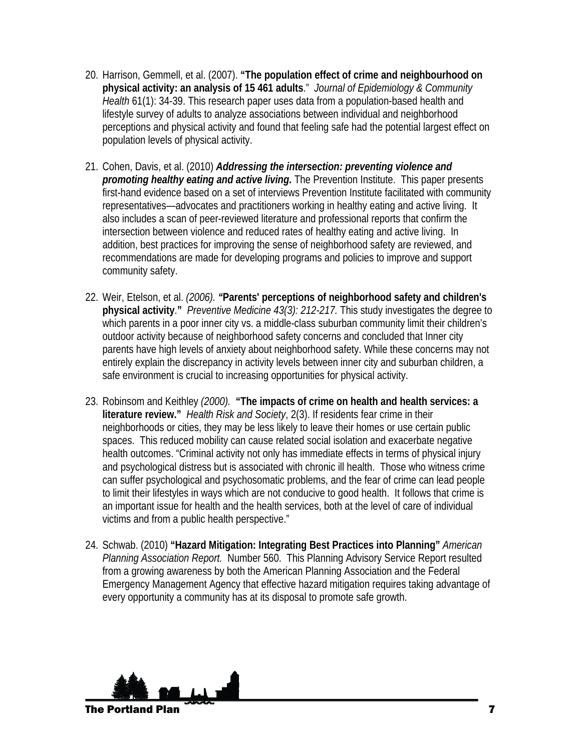- 20. Harrison, Gemmell, et al. (2007). **"The population effect of crime and neighbourhood on physical activity: an analysis of 15 461 adults**." *Journal of Epidemiology & Community Health* 61(1): 34-39. This research paper uses data from a population-based health and lifestyle survey of adults to analyze associations between individual and neighborhood perceptions and physical activity and found that feeling safe had the potential largest effect on population levels of physical activity.
- 21. Cohen, Davis, et al. (2010) *Addressing the intersection: preventing violence and promoting healthy eating and active living.* The Prevention Institute. This paper presents first-hand evidence based on a set of interviews Prevention Institute facilitated with community representatives—advocates and practitioners working in healthy eating and active living. It also includes a scan of peer-reviewed literature and professional reports that confirm the intersection between violence and reduced rates of healthy eating and active living. In addition, best practices for improving the sense of neighborhood safety are reviewed, and recommendations are made for developing programs and policies to improve and support community safety.
- 22. Weir, Etelson, et al. *(2006). "***Parents' perceptions of neighborhood safety and children's physical activity**.**"** *Preventive Medicine 43(3): 212-217.* This study investigates the degree to which parents in a poor inner city vs. a middle-class suburban community limit their children's outdoor activity because of neighborhood safety concerns and concluded that Inner city parents have high levels of anxiety about neighborhood safety. While these concerns may not entirely explain the discrepancy in activity levels between inner city and suburban children, a safe environment is crucial to increasing opportunities for physical activity.
- 23. Robinsom and Keithley *(2000).* **"The impacts of crime on health and health services: a literature review."** *Health Risk and Society*, 2(3). If residents fear crime in their neighborhoods or cities, they may be less likely to leave their homes or use certain public spaces. This reduced mobility can cause related social isolation and exacerbate negative health outcomes. "Criminal activity not only has immediate effects in terms of physical injury and psychological distress but is associated with chronic ill health. Those who witness crime can suffer psychological and psychosomatic problems, and the fear of crime can lead people to limit their lifestyles in ways which are not conducive to good health. It follows that crime is an important issue for health and the health services, both at the level of care of individual victims and from a public health perspective."
- 24. Schwab. (2010) **"Hazard Mitigation: Integrating Best Practices into Planning"** *American Planning Association Report.* Number 560. This Planning Advisory Service Report resulted from a growing awareness by both the American Planning Association and the Federal Emergency Management Agency that effective hazard mitigation requires taking advantage of every opportunity a community has at its disposal to promote safe growth.

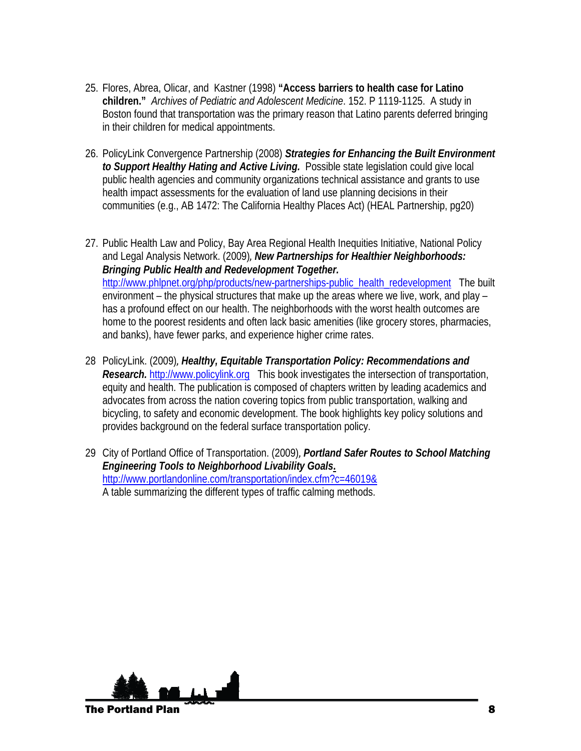- 25. Flores, Abrea, Olicar, and Kastner (1998) **"Access barriers to health case for Latino children."** *Archives of Pediatric and Adolescent Medicine*. 152. P 1119-1125. A study in Boston found that transportation was the primary reason that Latino parents deferred bringing in their children for medical appointments.
- 26. PolicyLink Convergence Partnership (2008) *Strategies for Enhancing the Built Environment to Support Healthy Hating and Active Living.* Possible state legislation could give local public health agencies and community organizations technical assistance and grants to use health impact assessments for the evaluation of land use planning decisions in their communities (e.g., AB 1472: The California Healthy Places Act) (HEAL Partnership, pg20)
- 27. Public Health Law and Policy, Bay Area Regional Health Inequities Initiative, National Policy and Legal Analysis Network. (2009), *New Partnerships for Healthier Neighborhoods: Bringing Public Health and Redevelopment Together.* [http://www.phlpnet.org/php/products/new-partnerships-public\\_health\\_redevelopment](http://www.phlpnet.org/php/products/new-partnerships-public_health_redevelopment) The built environment – the physical structures that make up the areas where we live, work, and play – has a profound effect on our health. The neighborhoods with the worst health outcomes are home to the poorest residents and often lack basic amenities (like grocery stores, pharmacies, and banks), have fewer parks, and experience higher crime rates.
- 28 PolicyLink. (2009), *Healthy, Equitable Transportation Policy: Recommendations and Research.* [http://www.policylink.org](http://www.policylink.org/) This book investigates the intersection of transportation, equity and health. The publication is composed of chapters written by leading academics and advocates from across the nation covering topics from public transportation, walking and bicycling, to safety and economic development. The book highlights key policy solutions and provides background on the federal surface transportation policy.
- 29 City of Portland Office of Transportation. (2009), *Portland Safer Routes to School Matching Engineering Tools to Neighborhood Livability Goals***.**  <http://www.portlandonline.com/transportation/index.cfm?c=46019&> A table summarizing the different types of traffic calming methods.

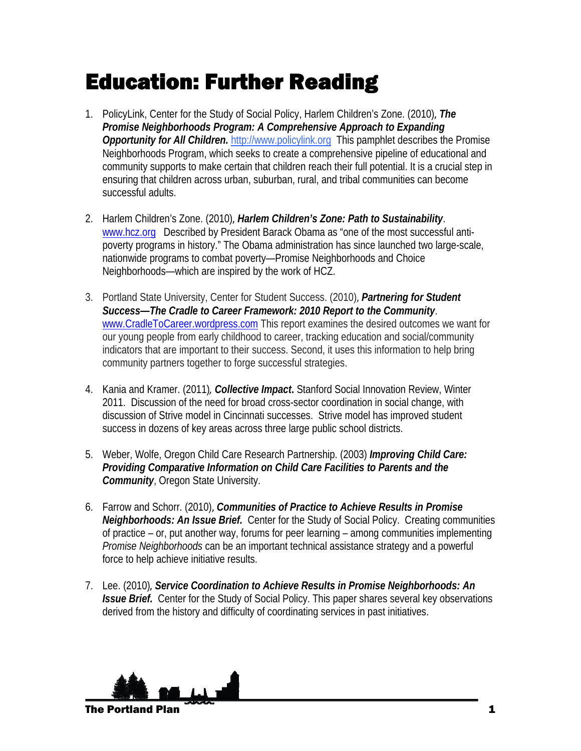## Education: Further Reading

- 1. PolicyLink, Center for the Study of Social Policy, Harlem Children's Zone. (2010), *The Promise Neighborhoods Program: A Comprehensive Approach to Expanding Opportunity for All Children.* [http://www.policylink.org](http://www.policylink.org/) This pamphlet describes the Promise Neighborhoods Program, which seeks to create a comprehensive pipeline of educational and community supports to make certain that children reach their full potential. It is a crucial step in ensuring that children across urban, suburban, rural, and tribal communities can become successful adults.
- 2. Harlem Children's Zone. (2010), *Harlem Children's Zone: Path to Sustainability*. [www.hcz.org](http://www.hcz.org/) Described by President Barack Obama as "one of the most successful antipoverty programs in history." The Obama administration has since launched two large-scale, nationwide programs to combat poverty—Promise Neighborhoods and Choice Neighborhoods—which are inspired by the work of HCZ.
- 3. Portland State University, Center for Student Success. (2010), *Partnering for Student Success—The Cradle to Career Framework: 2010 Report to the Community*. [www.CradleToCareer.wordpress.com](http://www.cradletocareer.wordpress.com/) This report examines the desired outcomes we want for our young people from early childhood to career, tracking education and social/community indicators that are important to their success. Second, it uses this information to help bring community partners together to forge successful strategies.
- 4. Kania and Kramer. (2011)*, Collective Impact***.** Stanford Social Innovation Review, Winter 2011. Discussion of the need for broad cross-sector coordination in social change, with discussion of Strive model in Cincinnati successes. Strive model has improved student success in dozens of key areas across three large public school districts.
- 5. Weber, Wolfe, Oregon Child Care Research Partnership. (2003) *Improving Child Care: Providing Comparative Information on Child Care Facilities to Parents and the Community*, Oregon State University.
- 6. Farrow and Schorr. (2010), *Communities of Practice to Achieve Results in Promise Neighborhoods: An Issue Brief.* Center for the Study of Social Policy. Creating communities of practice – or, put another way, forums for peer learning – among communities implementing *Promise Neighborhoods* can be an important technical assistance strategy and a powerful force to help achieve initiative results.
- 7. Lee. (2010), *Service Coordination to Achieve Results in Promise Neighborhoods: An Issue Brief.* Center for the Study of Social Policy. This paper shares several key observations derived from the history and difficulty of coordinating services in past initiatives.

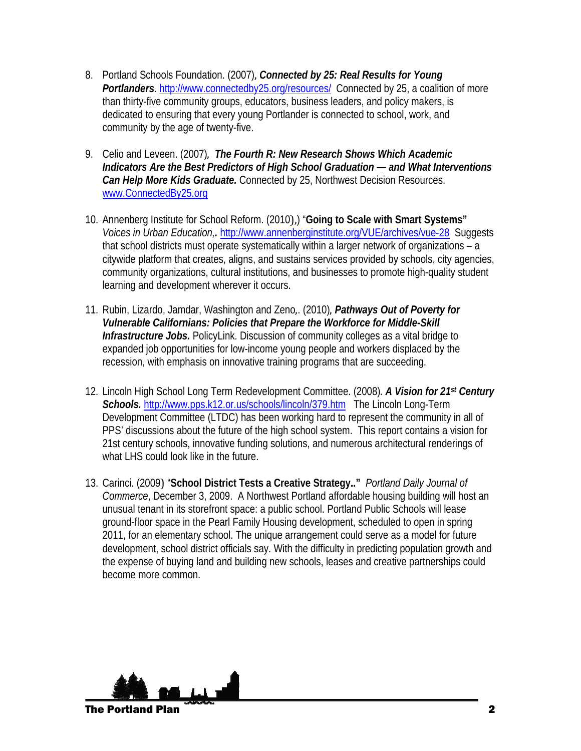- 8. Portland Schools Foundation. (2007), *Connected by 25: Real Results for Young Portlanders.*<http://www.connectedby25.org/resources/> Connected by 25, a coalition of more than thirty-five community groups, educators, business leaders, and policy makers, is dedicated to ensuring that every young Portlander is connected to school, work, and community by the age of twenty-five.
- 9. Celio and Leveen. (2007), *The Fourth R: New Research Shows Which Academic Indicators Are the Best Predictors of High School Graduation — and What Interventions Can Help More Kids Graduate.* Connected by 25, Northwest Decision Resources. [www.ConnectedBy25.org](http://www.connectedby25.org/)
- 10. Annenberg Institute for School Reform. (2010),) "**Going to Scale with Smart Systems"** *Voices in Urban Education,.* <http://www.annenberginstitute.org/VUE/archives/vue-28>Suggests that school districts must operate systematically within a larger network of organizations – a citywide platform that creates, aligns, and sustains services provided by schools, city agencies, community organizations, cultural institutions, and businesses to promote high-quality student learning and development wherever it occurs.
- 11. Rubin, Lizardo, Jamdar, Washington and Zeno,. (2010), *Pathways Out of Poverty for Vulnerable Californians: Policies that Prepare the Workforce for Middle-Skill Infrastructure Jobs.* PolicyLink. Discussion of community colleges as a vital bridge to expanded job opportunities for low-income young people and workers displaced by the recession, with emphasis on innovative training programs that are succeeding.
- 12. Lincoln High School Long Term Redevelopment Committee. (2008). *A Vision for 21st Century Schools.* <http://www.pps.k12.or.us/schools/lincoln/379.htm> The Lincoln Long-Term Development Committee (LTDC) has been working hard to represent the community in all of PPS' discussions about the future of the high school system. This report contains a vision for 21st century schools, innovative funding solutions, and numerous architectural renderings of what LHS could look like in the future.
- 13. Carinci. (2009) "**School District Tests a Creative Strategy.."** *Portland Daily Journal of Commerce*, December 3, 2009. A Northwest Portland affordable housing building will host an unusual tenant in its storefront space: a public school. Portland Public Schools will lease ground-floor space in the Pearl Family Housing development, scheduled to open in spring 2011, for an elementary school. The unique arrangement could serve as a model for future development, school district officials say. With the difficulty in predicting population growth and the expense of buying land and building new schools, leases and creative partnerships could become more common.

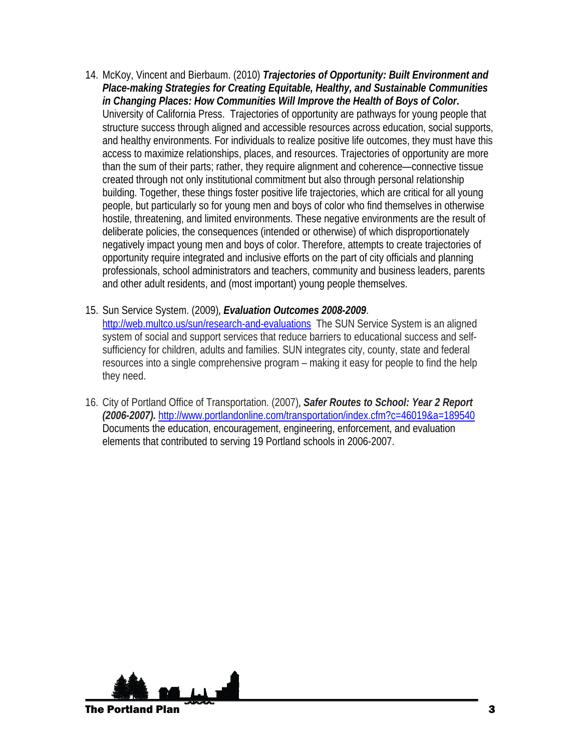- 14. McKoy, Vincent and Bierbaum. (2010) *Trajectories of Opportunity: Built Environment and Place-making Strategies for Creating Equitable, Healthy, and Sustainable Communities in Changing Places: How Communities Will Improve the Health of Boys of Color***.**  University of California Press. Trajectories of opportunity are pathways for young people that structure success through aligned and accessible resources across education, social supports, and healthy environments. For individuals to realize positive life outcomes, they must have this access to maximize relationships, places, and resources. Trajectories of opportunity are more than the sum of their parts; rather, they require alignment and coherence—connective tissue created through not only institutional commitment but also through personal relationship building. Together, these things foster positive life trajectories, which are critical for all young people, but particularly so for young men and boys of color who find themselves in otherwise hostile, threatening, and limited environments. These negative environments are the result of deliberate policies, the consequences (intended or otherwise) of which disproportionately negatively impact young men and boys of color. Therefore, attempts to create trajectories of opportunity require integrated and inclusive efforts on the part of city officials and planning professionals, school administrators and teachers, community and business leaders, parents and other adult residents, and (most important) young people themselves.
- 15. Sun Service System. (2009), *Evaluation Outcomes 2008-2009*. <http://web.multco.us/sun/research-and-evaluations>The SUN Service System is an aligned system of social and support services that reduce barriers to educational success and selfsufficiency for children, adults and families. SUN integrates city, county, state and federal resources into a single comprehensive program – making it easy for people to find the help they need.
- 16. City of Portland Office of Transportation. (2007), *Safer Routes to School: Year 2 Report (2006-2007).* <http://www.portlandonline.com/transportation/index.cfm?c=46019&a=189540> Documents the education, encouragement, engineering, enforcement, and evaluation elements that contributed to serving 19 Portland schools in 2006-2007.

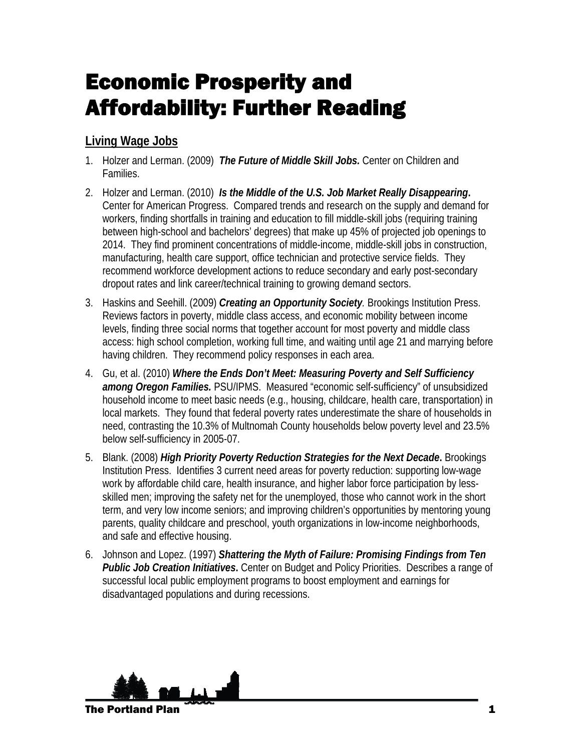# Economic Prosperity and Affordability: Further Reading

## **Living Wage Jobs**

- 1. Holzer and Lerman. (2009) *The Future of Middle Skill Jobs.* Center on Children and Families.
- 2. Holzer and Lerman. (2010) *Is the Middle of the U.S. Job Market Really Disappearing***.**  Center for American Progress.Compared trends and research on the supply and demand for workers, finding shortfalls in training and education to fill middle-skill jobs (requiring training between high-school and bachelors' degrees) that make up 45% of projected job openings to 2014. They find prominent concentrations of middle-income, middle-skill jobs in construction, manufacturing, health care support, office technician and protective service fields. They recommend workforce development actions to reduce secondary and early post-secondary dropout rates and link career/technical training to growing demand sectors.
- 3. Haskins and Seehill. (2009) *Creating an Opportunity Society.* Brookings Institution Press. Reviews factors in poverty, middle class access, and economic mobility between income levels, finding three social norms that together account for most poverty and middle class access: high school completion, working full time, and waiting until age 21 and marrying before having children. They recommend policy responses in each area.
- 4. Gu, et al. (2010) *Where the Ends Don't Meet: Measuring Poverty and Self Sufficiency among Oregon Families.* PSU/IPMS. Measured "economic self-sufficiency" of unsubsidized household income to meet basic needs (e.g., housing, childcare, health care, transportation) in local markets. They found that federal poverty rates underestimate the share of households in need, contrasting the 10.3% of Multnomah County households below poverty level and 23.5% below self-sufficiency in 2005-07.
- 5. Blank. (2008) *High Priority Poverty Reduction Strategies for the Next Decade***.** Brookings Institution Press. Identifies 3 current need areas for poverty reduction: supporting low-wage work by affordable child care, health insurance, and higher labor force participation by lessskilled men; improving the safety net for the unemployed, those who cannot work in the short term, and very low income seniors; and improving children's opportunities by mentoring young parents, quality childcare and preschool, youth organizations in low-income neighborhoods, and safe and effective housing.
- 6. Johnson and Lopez. (1997) *Shattering the Myth of Failure: Promising Findings from Ten Public Job Creation Initiatives***.** Center on Budget and Policy Priorities. Describes a range of successful local public employment programs to boost employment and earnings for disadvantaged populations and during recessions.

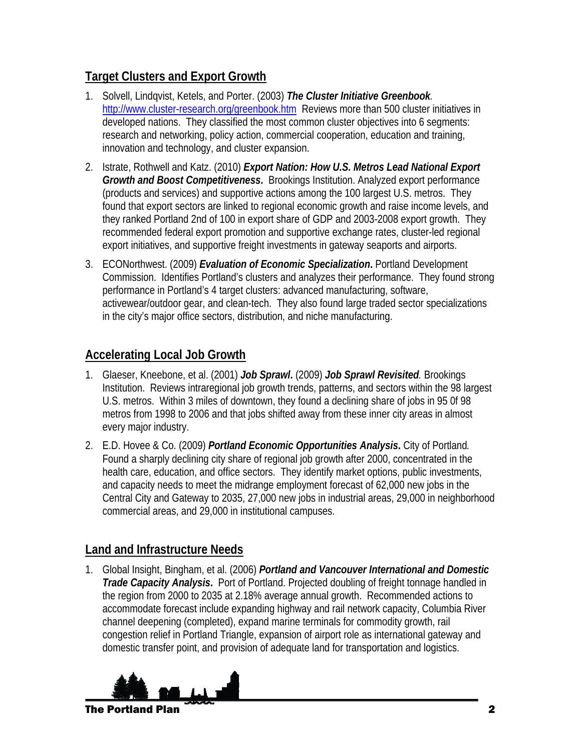## **Target Clusters and Export Growth**

- 1. Solvell, Lindqvist, Ketels, and Porter. (2003) *The Cluster Initiative Greenbook.* <http://www.cluster-research.org/greenbook.htm>Reviews more than 500 cluster initiatives in developed nations. They classified the most common cluster objectives into 6 segments: research and networking, policy action, commercial cooperation, education and training, innovation and technology, and cluster expansion.
- 2. Istrate, Rothwell and Katz. (2010) *Export Nation: How U.S. Metros Lead National Export Growth and Boost Competitiveness***.** Brookings Institution. Analyzed export performance (products and services) and supportive actions among the 100 largest U.S. metros. They found that export sectors are linked to regional economic growth and raise income levels, and they ranked Portland 2nd of 100 in export share of GDP and 2003-2008 export growth. They recommended federal export promotion and supportive exchange rates, cluster-led regional export initiatives, and supportive freight investments in gateway seaports and airports.
- 3. ECONorthwest. (2009) *Evaluation of Economic Specialization***.** Portland Development Commission. Identifies Portland's clusters and analyzes their performance. They found strong performance in Portland's 4 target clusters: advanced manufacturing, software, activewear/outdoor gear, and clean-tech. They also found large traded sector specializations in the city's major office sectors, distribution, and niche manufacturing.

#### **Accelerating Local Job Growth**

- 1. Glaeser, Kneebone, et al. (2001) *Job Sprawl***.** (2009) *Job Sprawl Revisited.* Brookings Institution. Reviews intraregional job growth trends, patterns, and sectors within the 98 largest U.S. metros. Within 3 miles of downtown, they found a declining share of jobs in 95 0f 98 metros from 1998 to 2006 and that jobs shifted away from these inner city areas in almost every major industry.
- 2. E.D. Hovee & Co. (2009) *Portland Economic Opportunities Analysis***.** City of Portland*.*  Found a sharply declining city share of regional job growth after 2000, concentrated in the health care, education, and office sectors. They identify market options, public investments, and capacity needs to meet the midrange employment forecast of 62,000 new jobs in the Central City and Gateway to 2035, 27,000 new jobs in industrial areas, 29,000 in neighborhood commercial areas, and 29,000 in institutional campuses.

#### **Land and Infrastructure Needs**

1. Global Insight, Bingham, et al. (2006) *Portland and Vancouver International and Domestic Trade Capacity Analysis.* Port of Portland. Projected doubling of freight tonnage handled in the region from 2000 to 2035 at 2.18% average annual growth. Recommended actions to accommodate forecast include expanding highway and rail network capacity, Columbia River channel deepening (completed), expand marine terminals for commodity growth, rail congestion relief in Portland Triangle, expansion of airport role as international gateway and domestic transfer point, and provision of adequate land for transportation and logistics.

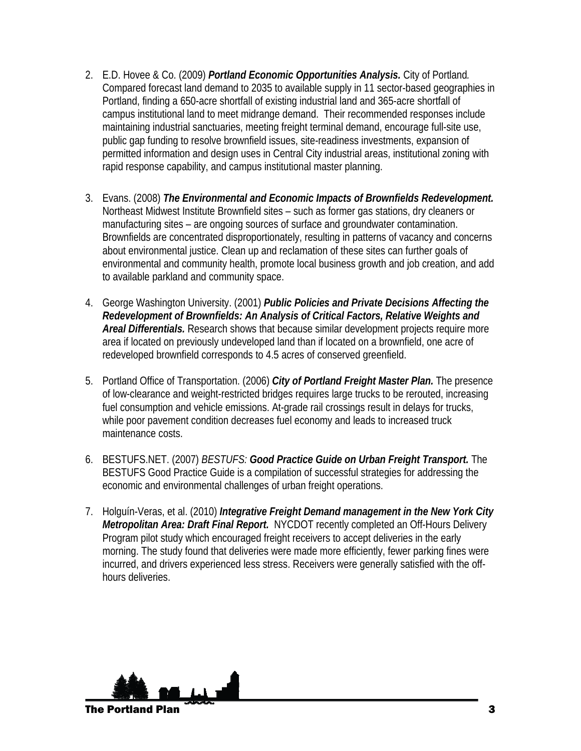- 2. E.D. Hovee & Co. (2009) *Portland Economic Opportunities Analysis.* City of Portland*.*  Compared forecast land demand to 2035 to available supply in 11 sector-based geographies in Portland, finding a 650-acre shortfall of existing industrial land and 365-acre shortfall of campus institutional land to meet midrange demand. Their recommended responses include maintaining industrial sanctuaries, meeting freight terminal demand, encourage full-site use, public gap funding to resolve brownfield issues, site-readiness investments, expansion of permitted information and design uses in Central City industrial areas, institutional zoning with rapid response capability, and campus institutional master planning.
- 3. Evans. (2008) *The Environmental and Economic Impacts of Brownfields Redevelopment.* Northeast Midwest Institute Brownfield sites – such as former gas stations, dry cleaners or manufacturing sites – are ongoing sources of surface and groundwater contamination. Brownfields are concentrated disproportionately, resulting in patterns of vacancy and concerns about environmental justice. Clean up and reclamation of these sites can further goals of environmental and community health, promote local business growth and job creation, and add to available parkland and community space.
- 4. George Washington University. (2001) *Public Policies and Private Decisions Affecting the Redevelopment of Brownfields: An Analysis of Critical Factors, Relative Weights and Areal Differentials.* Research shows that because similar development projects require more area if located on previously undeveloped land than if located on a brownfield, one acre of redeveloped brownfield corresponds to 4.5 acres of conserved greenfield.
- 5. Portland Office of Transportation. (2006) *City of Portland Freight Master Plan.* The presence of low-clearance and weight-restricted bridges requires large trucks to be rerouted, increasing fuel consumption and vehicle emissions. At-grade rail crossings result in delays for trucks, while poor pavement condition decreases fuel economy and leads to increased truck maintenance costs.
- 6. BESTUFS.NET. (2007) *BESTUFS: Good Practice Guide on Urban Freight Transport.* The BESTUFS Good Practice Guide is a compilation of successful strategies for addressing the economic and environmental challenges of urban freight operations.
- 7. Holguín-Veras, et al. (2010) *Integrative Freight Demand management in the New York City Metropolitan Area: Draft Final Report.* NYCDOT recently completed an Off-Hours Delivery Program pilot study which encouraged freight receivers to accept deliveries in the early morning. The study found that deliveries were made more efficiently, fewer parking fines were incurred, and drivers experienced less stress. Receivers were generally satisfied with the offhours deliveries.

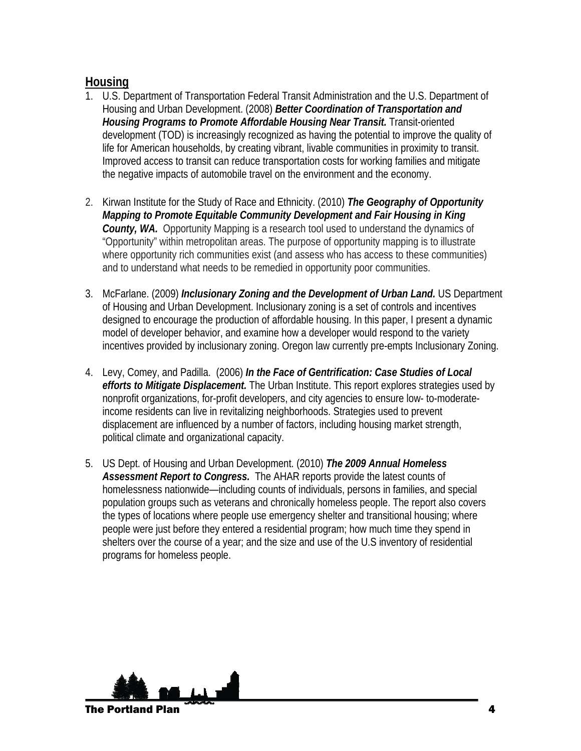#### **Housing**

- 1. U.S. Department of Transportation Federal Transit Administration and the U.S. Department of Housing and Urban Development. (2008) *Better Coordination of Transportation and Housing Programs to Promote Affordable Housing Near Transit.* Transit-oriented development (TOD) is increasingly recognized as having the potential to improve the quality of life for American households, by creating vibrant, livable communities in proximity to transit. Improved access to transit can reduce transportation costs for working families and mitigate the negative impacts of automobile travel on the environment and the economy.
- 2. Kirwan Institute for the Study of Race and Ethnicity. (2010) *The Geography of Opportunity Mapping to Promote Equitable Community Development and Fair Housing in King County, WA.* Opportunity Mapping is a research tool used to understand the dynamics of "Opportunity" within metropolitan areas. The purpose of opportunity mapping is to illustrate where opportunity rich communities exist (and assess who has access to these communities) and to understand what needs to be remedied in opportunity poor communities.
- 3. McFarlane. (2009) *Inclusionary Zoning and the Development of Urban Land.* US Department of Housing and Urban Development. Inclusionary zoning is a set of controls and incentives designed to encourage the production of affordable housing. In this paper, I present a dynamic model of developer behavior, and examine how a developer would respond to the variety incentives provided by inclusionary zoning. Oregon law currently pre-empts Inclusionary Zoning.
- 4. Levy, Comey, and Padilla. (2006) *In the Face of Gentrification: Case Studies of Local efforts to Mitigate Displacement.* The Urban Institute. This report explores strategies used by nonprofit organizations, for-profit developers, and city agencies to ensure low- to-moderateincome residents can live in revitalizing neighborhoods. Strategies used to prevent displacement are influenced by a number of factors, including housing market strength, political climate and organizational capacity.
- 5. US Dept. of Housing and Urban Development. (2010) *The 2009 Annual Homeless*  Assessment Report to Congress. The AHAR reports provide the latest counts of homelessness nationwide—including counts of individuals, persons in families, and special population groups such as veterans and chronically homeless people. The report also covers the types of locations where people use emergency shelter and transitional housing; where people were just before they entered a residential program; how much time they spend in shelters over the course of a year; and the size and use of the U.S inventory of residential programs for homeless people.

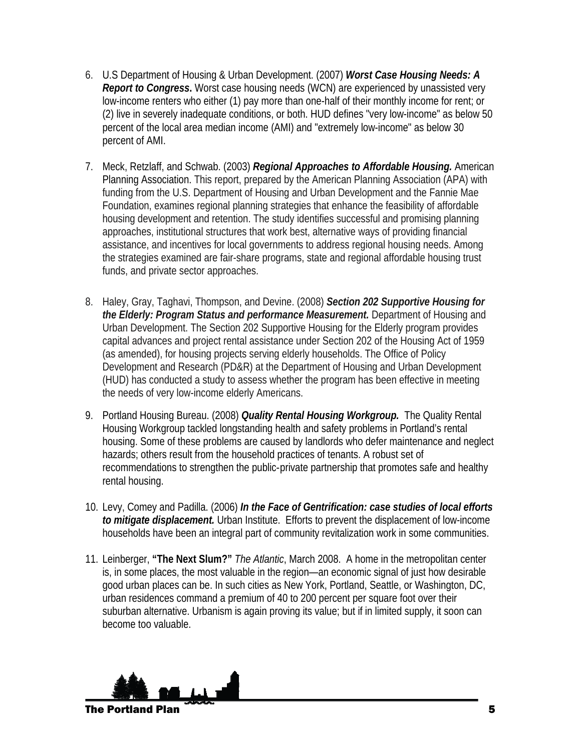- 6. U.S Department of Housing & Urban Development. (2007) *Worst Case Housing Needs: A Report to Congress***.** Worst case housing needs (WCN) are experienced by unassisted very low-income renters who either (1) pay more than one-half of their monthly income for rent; or (2) live in severely inadequate conditions, or both. HUD defines "very low-income" as below 50 percent of the local area median income (AMI) and "extremely low-income" as below 30 percent of AMI.
- 7. Meck, Retzlaff, and Schwab. (2003) *Regional Approaches to Affordable Housing.* American Planning Association. This report, prepared by the American Planning Association (APA) with funding from the U.S. Department of Housing and Urban Development and the Fannie Mae Foundation, examines regional planning strategies that enhance the feasibility of affordable housing development and retention. The study identifies successful and promising planning approaches, institutional structures that work best, alternative ways of providing financial assistance, and incentives for local governments to address regional housing needs. Among the strategies examined are fair-share programs, state and regional affordable housing trust funds, and private sector approaches.
- 8. Haley, Gray, Taghavi, Thompson, and Devine. (2008) *Section 202 Supportive Housing for the Elderly: Program Status and performance Measurement.* Department of Housing and Urban Development. The Section 202 Supportive Housing for the Elderly program provides capital advances and project rental assistance under Section 202 of the Housing Act of 1959 (as amended), for housing projects serving elderly households. The Office of Policy Development and Research (PD&R) at the Department of Housing and Urban Development (HUD) has conducted a study to assess whether the program has been effective in meeting the needs of very low-income elderly Americans.
- 9. Portland Housing Bureau. (2008) *Quality Rental Housing Workgroup.*The Quality Rental Housing Workgroup tackled longstanding health and safety problems in Portland's rental housing. Some of these problems are caused by landlords who defer maintenance and neglect hazards; others result from the household practices of tenants. A robust set of recommendations to strengthen the public‐private partnership that promotes safe and healthy rental housing.
- 10. Levy, Comey and Padilla. (2006) *In the Face of Gentrification: case studies of local efforts to mitigate displacement.* Urban Institute. Efforts to prevent the displacement of low-income households have been an integral part of community revitalization work in some communities.
- 11. Leinberger, **"The Next Slum?"** *The Atlantic*, March 2008. A home in the metropolitan center is, in some places, the most valuable in the region—an economic signal of just how desirable good urban places can be. In such cities as New York, Portland, Seattle, or Washington, DC, urban residences command a premium of 40 to 200 percent per square foot over their suburban alternative. Urbanism is again proving its value; but if in limited supply, it soon can become too valuable.

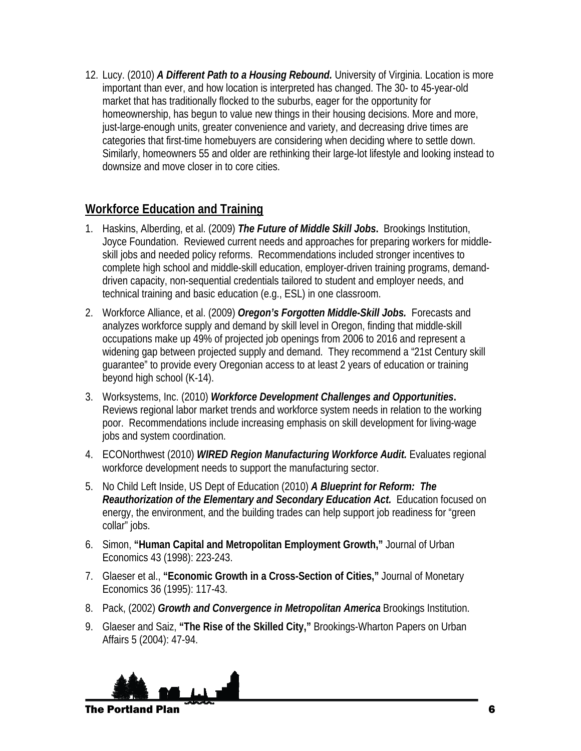12. Lucy. (2010) *A Different Path to a Housing Rebound.* University of Virginia. Location is more important than ever, and how location is interpreted has changed. The 30- to 45-year-old market that has traditionally flocked to the suburbs, eager for the opportunity for homeownership, has begun to value new things in their housing decisions. More and more, just-large-enough units, greater convenience and variety, and decreasing drive times are categories that first-time homebuyers are considering when deciding where to settle down. Similarly, homeowners 55 and older are rethinking their large-lot lifestyle and looking instead to downsize and move closer in to core cities.

#### **Workforce Education and Training**

- 1. Haskins, Alberding, et al. (2009) *The Future of Middle Skill Jobs***.** Brookings Institution, Joyce Foundation. Reviewed current needs and approaches for preparing workers for middleskill jobs and needed policy reforms. Recommendations included stronger incentives to complete high school and middle-skill education, employer-driven training programs, demanddriven capacity, non-sequential credentials tailored to student and employer needs, and technical training and basic education (e.g., ESL) in one classroom.
- 2. Workforce Alliance, et al. (2009) *Oregon's Forgotten Middle-Skill Jobs.* Forecasts and analyzes workforce supply and demand by skill level in Oregon, finding that middle-skill occupations make up 49% of projected job openings from 2006 to 2016 and represent a widening gap between projected supply and demand. They recommend a "21st Century skill guarantee" to provide every Oregonian access to at least 2 years of education or training beyond high school (K-14).
- 3. Worksystems, Inc. (2010) *Workforce Development Challenges and Opportunities***.**  Reviews regional labor market trends and workforce system needs in relation to the working poor. Recommendations include increasing emphasis on skill development for living-wage jobs and system coordination.
- 4. ECONorthwest (2010) *WIRED Region Manufacturing Workforce Audit.* Evaluates regional workforce development needs to support the manufacturing sector.
- 5. No Child Left Inside, US Dept of Education (2010) *A Blueprint for Reform: The Reauthorization of the Elementary and Secondary Education Act.* Education focused on energy, the environment, and the building trades can help support job readiness for "green collar" jobs.
- 6. Simon, **"Human Capital and Metropolitan Employment Growth,"** Journal of Urban Economics 43 (1998): 223-243.
- 7. Glaeser et al., **"Economic Growth in a Cross-Section of Cities,"** Journal of Monetary Economics 36 (1995): 117-43.
- 8. Pack, (2002) *Growth and Convergence in Metropolitan America* Brookings Institution.
- 9. Glaeser and Saiz, **"The Rise of the Skilled City,"** Brookings-Wharton Papers on Urban Affairs 5 (2004): 47-94.



The Portland Plan **The Portland Plan** 6